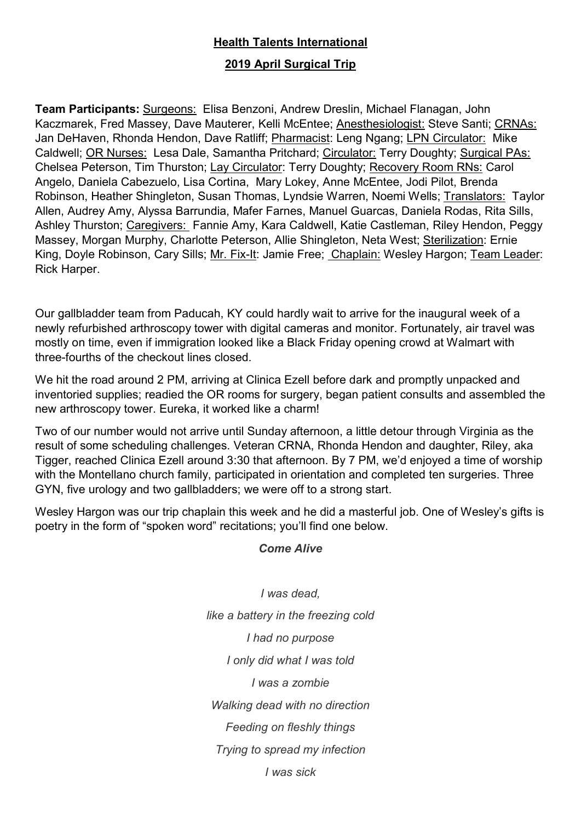## **Health Talents International**

## **2019 April Surgical Trip**

**Team Participants:** Surgeons: Elisa Benzoni, Andrew Dreslin, Michael Flanagan, John Kaczmarek, Fred Massey, Dave Mauterer, Kelli McEntee; Anesthesiologist: Steve Santi; CRNAs: Jan DeHaven, Rhonda Hendon, Dave Ratliff; Pharmacist: Leng Ngang; LPN Circulator: Mike Caldwell; OR Nurses: Lesa Dale, Samantha Pritchard; Circulator: Terry Doughty; Surgical PAs: Chelsea Peterson, Tim Thurston; Lay Circulator: Terry Doughty; Recovery Room RNs: Carol Angelo, Daniela Cabezuelo, Lisa Cortina, Mary Lokey, Anne McEntee, Jodi Pilot, Brenda Robinson, Heather Shingleton, Susan Thomas, Lyndsie Warren, Noemi Wells; Translators: Taylor Allen, Audrey Amy, Alyssa Barrundia, Mafer Farnes, Manuel Guarcas, Daniela Rodas, Rita Sills, Ashley Thurston; Caregivers: Fannie Amy, Kara Caldwell, Katie Castleman, Riley Hendon, Peggy Massey, Morgan Murphy, Charlotte Peterson, Allie Shingleton, Neta West; Sterilization: Ernie King, Doyle Robinson, Cary Sills; Mr. Fix-It: Jamie Free; Chaplain: Wesley Hargon; Team Leader: Rick Harper.

Our gallbladder team from Paducah, KY could hardly wait to arrive for the inaugural week of a newly refurbished arthroscopy tower with digital cameras and monitor. Fortunately, air travel was mostly on time, even if immigration looked like a Black Friday opening crowd at Walmart with three-fourths of the checkout lines closed.

We hit the road around 2 PM, arriving at Clinica Ezell before dark and promptly unpacked and inventoried supplies; readied the OR rooms for surgery, began patient consults and assembled the new arthroscopy tower. Eureka, it worked like a charm!

Two of our number would not arrive until Sunday afternoon, a little detour through Virginia as the result of some scheduling challenges. Veteran CRNA, Rhonda Hendon and daughter, Riley, aka Tigger, reached Clinica Ezell around 3:30 that afternoon. By 7 PM, we'd enjoyed a time of worship with the Montellano church family, participated in orientation and completed ten surgeries. Three GYN, five urology and two gallbladders; we were off to a strong start.

Wesley Hargon was our trip chaplain this week and he did a masterful job. One of Wesley's gifts is poetry in the form of "spoken word" recitations; you'll find one below.

## *Come Alive*

*I was dead, like a battery in the freezing cold I had no purpose I only did what I was told I was a zombie Walking dead with no direction Feeding on fleshly things Trying to spread my infection I was sick*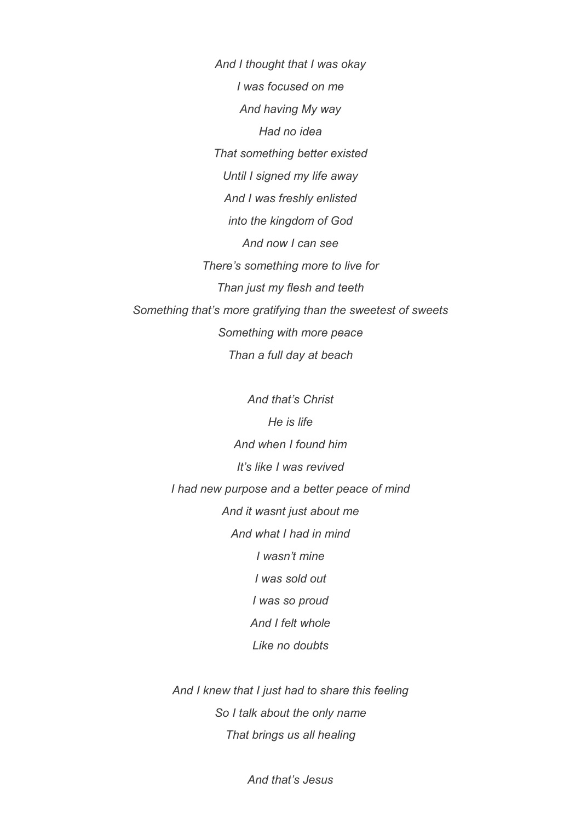*And I thought that I was okay I was focused on me And having My way Had no idea That something better existed Until I signed my life away And I was freshly enlisted into the kingdom of God And now I can see There's something more to live for Than just my flesh and teeth Something that's more gratifying than the sweetest of sweets Something with more peace Than a full day at beach*

> *And that's Christ He is life And when I found him It's like I was revived I had new purpose and a better peace of mind And it wasnt just about me And what I had in mind I wasn't mine I was sold out I was so proud And I felt whole Like no doubts*

> *And I knew that I just had to share this feeling So I talk about the only name That brings us all healing*

> > *And that's Jesus*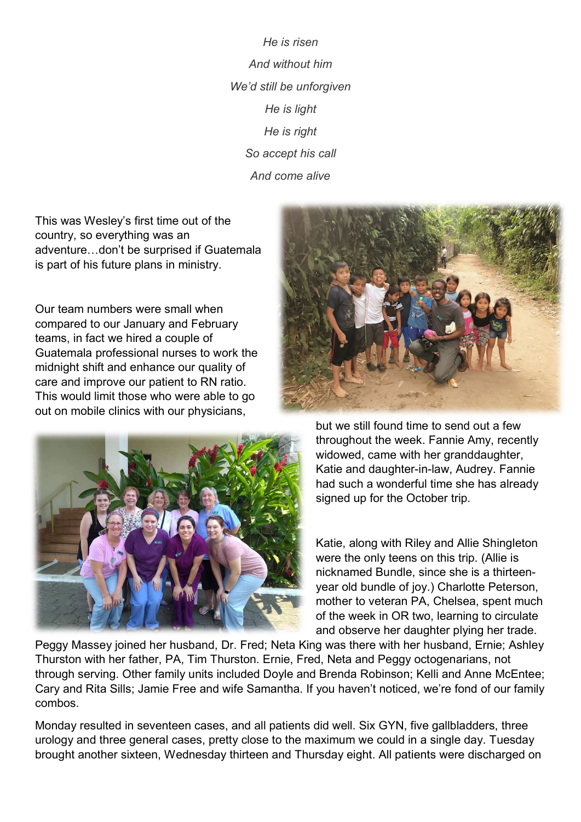*He is risen And without him We'd still be unforgiven He is light He is right So accept his call And come alive*

This was Wesley's first time out of the country, so everything was an adventure…don't be surprised if Guatemala is part of his future plans in ministry.

Our team numbers were small when compared to our January and February teams, in fact we hired a couple of Guatemala professional nurses to work the midnight shift and enhance our quality of care and improve our patient to RN ratio. This would limit those who were able to go out on mobile clinics with our physicians,





but we still found time to send out a few throughout the week. Fannie Amy, recently widowed, came with her granddaughter, Katie and daughter-in-law, Audrey. Fannie had such a wonderful time she has already signed up for the October trip.

Katie, along with Riley and Allie Shingleton were the only teens on this trip. (Allie is nicknamed Bundle, since she is a thirteenyear old bundle of joy.) Charlotte Peterson, mother to veteran PA, Chelsea, spent much of the week in OR two, learning to circulate and observe her daughter plying her trade.

Peggy Massey joined her husband, Dr. Fred; Neta King was there with her husband, Ernie; Ashley Thurston with her father, PA, Tim Thurston. Ernie, Fred, Neta and Peggy octogenarians, not through serving. Other family units included Doyle and Brenda Robinson; Kelli and Anne McEntee; Cary and Rita Sills; Jamie Free and wife Samantha. If you haven't noticed, we're fond of our family combos.

Monday resulted in seventeen cases, and all patients did well. Six GYN, five gallbladders, three urology and three general cases, pretty close to the maximum we could in a single day. Tuesday brought another sixteen, Wednesday thirteen and Thursday eight. All patients were discharged on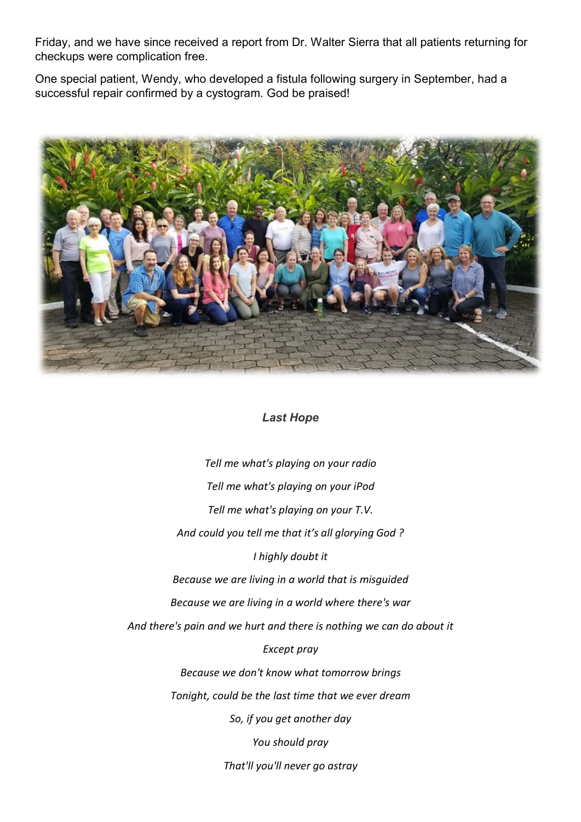Friday, and we have since received a report from Dr. Walter Sierra that all patients returning for checkups were complication free.

One special patient, Wendy, who developed a fistula following surgery in September, had a successful repair confirmed by a cystogram. God be praised!



## *Last Hope*

*Tell me what's playing on your radio Tell me what's playing on your iPod Tell me what's playing on your T.V. And could you tell me that it's all glorying God ? I highly doubt it Because we are living in a world that is misguided Because we are living in a world where there's war And there's pain and we hurt and there is nothing we can do about it Except pray Because we don't know what tomorrow brings Tonight, could be the last time that we ever dream So, if you get another day You should pray*

*That'll you'll never go astray*